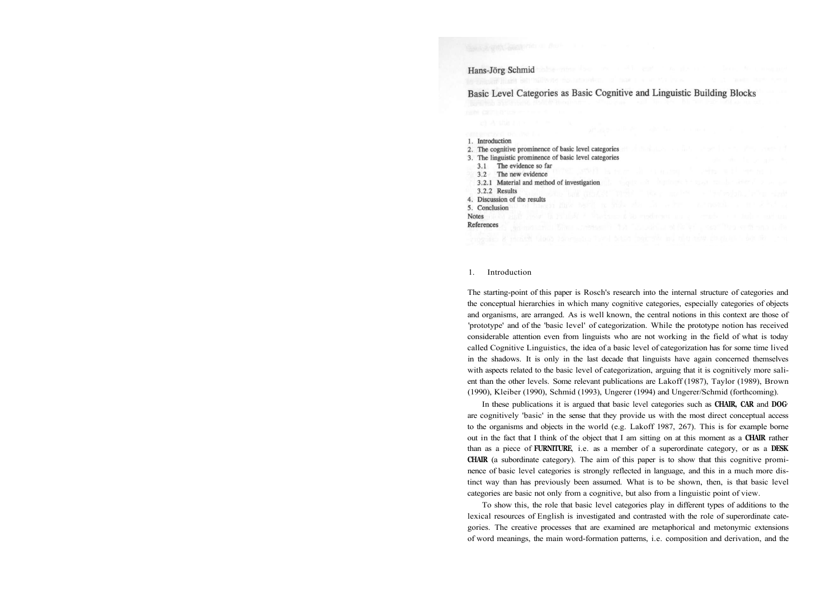# Hans-Jörg Schmid

Basic Level Categories as Basic Cognitive and Linguistic Building Blocks

1. Introduction 2. The cognitive prominence of basic level categories 3. The linguistic prominence of basic level categories 3.1 The evidence so far 3.2 The new evidence 3.2.1 Material and method of investigation 3.2.2 Results 4. Discussion of the results 5. Conclusion **Notes** References

#### 1. Introduction

The starting-point of this paper is Rosch's research into the internal structure of categories and the conceptual hierarchies in which many cognitive categories, especially categories of objects and organisms, are arranged. As is well known, the central notions in this context are those of 'prototype' and of the 'basic level' of categorization. While the prototype notion has received considerable attention even from linguists who are not working in the field of what is today called Cognitive Linguistics, the idea of a basic level of categorization has for some time lived in the shadows. It is only in the last decade that linguists have again concerned themselves with aspects related to the basic level of categorization, arguing that it is cognitively more salient than the other levels. Some relevant publications are Lakoff (1987), Taylor (1989), Brown (1990), Kleiber (1990), Schmid (1993), Ungerer (1994) and Ungerer/Schmid (forthcoming).

In these publications it is argued that basic level categories such as **CHAIR, CAR** and **DOG<sup>1</sup>** are cognitively 'basic' in the sense that they provide us with the most direct conceptual access to the organisms and objects in the world (e.g. Lakoff 1987, 267). This is for example borne out in the fact that I think of the object that I am sitting on at this moment as a **CHAIR** rather than as a piece of **FURNITURE**, i.e. as a member of a superordinate category, or as a **DESK CHAIR** (a subordinate category). The aim of this paper is to show that this cognitive prominence of basic level categories is strongly reflected in language, and this in a much more distinct way than has previously been assumed. What is to be shown, then, is that basic level categories are basic not only from a cognitive, but also from a linguistic point of view.

To show this, the role that basic level categories play in different types of additions to the lexical resources of English is investigated and contrasted with the role of superordinate categories. The creative processes that are examined are metaphorical and metonymic extensions of word meanings, the main word-formation patterns, i.e. composition and derivation, and the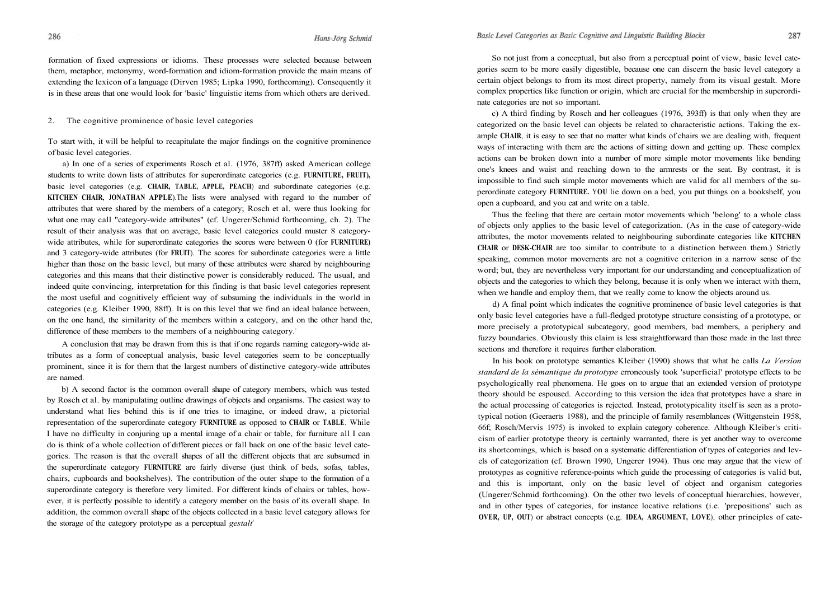## Basic Level Categories as Basic Cognitive and Linguistic Building Blocks

#### Hans-Jörg Schmid

formation of fixed expressions or idioms. These processes were selected because between them, metaphor, metonymy, word-formation and idiom-formation provide the main means of extending the lexicon of a language (Dirven 1985; Lipka 1990, forthcoming). Consequently it is in these areas that one would look for 'basic' linguistic items from which others are derived.

2. The cognitive prominence of basic level categories

To start with, it will be helpful to recapitulate the major findings on the cognitive prominence of basic level categories.

a) In one of a series of experiments Rosch et al. (1976, 387ff) asked American college students to write down lists of attributes for superordinate categories (e.g. **FURNITURE, FRUIT),**  basic level categories (e.g. **CHAIR, TABLE, APPLE, PEACH**) and subordinate categories (e.g. **KITCHEN CHAIR,** J**ONATHAN APPLE**).The lists were analysed with regard to the number of attributes that were shared by the members of a category; Rosch et al. were thus looking for what one may call "category-wide attributes" (cf. Ungerer/Schmid forthcoming, ch. 2). The result of their analysis was that on average, basic level categories could muster 8 categorywide attributes, while for superordinate categories the scores were between 0 (for **FURNITURE)**  and 3 category-wide attributes (for **FRUIT**). The scores for subordinate categories were a little higher than those on the basic level, but many of these attributes were shared by neighbouring categories and this means that their distinctive power is considerably reduced. The usual, and indeed quite convincing, interpretation for this finding is that basic level categories represent the most useful and cognitively efficient way of subsuming the individuals in the world in categories (e.g. Kleiber 1990, 88ff). It is on this level that we find an ideal balance between, on the one hand, the similarity of the members within a category, and on the other hand the, difference of these members to the members of a neighbouring category.<sup>2</sup>

A conclusion that may be drawn from this is that if one regards naming category-wide attributes as a form of conceptual analysis, basic level categories seem to be conceptually prominent, since it is for them that the largest numbers of distinctive category-wide attributes are named.

b) A second factor is the common overall shape of category members, which was tested by Rosch et al. by manipulating outline drawings of objects and organisms. The easiest way to understand what lies behind this is if one tries to imagine, or indeed draw, a pictorial representation of the superordinate category **FURNITURE** as opposed to **CHAIR** or **TABLE**. While I have no difficulty in conjuring up a mental image of a chair or table, for furniture all I can do is think of a whole collection of different pieces or fall back on one of the basic level categories. The reason is that the overall shapes of all the different objects that are subsumed in the superordinate category **FURNITURE** are fairly diverse (just think of beds, sofas, tables, chairs, cupboards and bookshelves). The contribution of the outer shape to the formation of a superordinate category is therefore very limited. For different kinds of chairs or tables, however, it is perfectly possible to identify a category member on the basis of its overall shape. In addition, the common overall shape of the objects collected in a basic level category allows for the storage of the category prototype as a perceptual *gestalt<sup>3</sup>* 

So not just from a conceptual, but also from a perceptual point of view, basic level categories seem to be more easily digestible, because one can discern the basic level category a certain object belongs to from its most direct property, namely from its visual gestalt. More complex properties like function or origin, which are crucial for the membership in superordinate categories are not so important.

c) A third finding by Rosch and her colleagues (1976, 393ff) is that only when they are categorized on the basic level can objects be related to characteristic actions. Taking the example **CHAIR**, it is easy to see that no matter what kinds of chairs we are dealing with, frequent ways of interacting with them are the actions of sitting down and getting up. These complex actions can be broken down into a number of more simple motor movements like bending one's knees and waist and reaching down to the armrests or the seat. By contrast, it is impossible to find such simple motor movements which are valid for all members of the superordinate category **FURNITURE.** Y**OU** lie down on a bed, you put things on a bookshelf, you open a cupboard, and you eat and write on a table.

Thus the feeling that there are certain motor movements which 'belong' to a whole class of objects only applies to the basic level of categorization. (As in the case of category-wide attributes, the motor movements related to neighbouring subordinate categories like **KITCHEN CHAIR** or **DESK-CHAIR** are too similar to contribute to a distinction between them.) Strictly speaking, common motor movements are not a cognitive criterion in a narrow sense of the word; but, they are nevertheless very important for our understanding and conceptualization of objects and the categories to which they belong, because it is only when we interact with them, when we handle and employ them, that we really come to know the objects around us.

d) A final point which indicates the cognitive prominence of basic level categories is that only basic level categories have a full-fledged prototype structure consisting of a prototype, or more precisely a prototypical subcategory, good members, bad members, a periphery and fuzzy boundaries. Obviously this claim is less straightforward than those made in the last three sections and therefore it requires further elaboration.

In his book on prototype semantics Kleiber (1990) shows that what he calls *La Version standard de la sémantique du prototype* erroneously took 'superficial' prototype effects to be psychologically real phenomena. He goes on to argue that an extended version of prototype theory should be espoused. According to this version the idea that prototypes have a share in the actual processing of categories is rejected. Instead, prototypicality itself is seen as a prototypical notion (Geeraerts 1988), and the principle of family resemblances (Wittgenstein 1958, 66f; Rosch/Mervis 1975) is invoked to explain category coherence. Although Kleiber's criticism of earlier prototype theory is certainly warranted, there is yet another way to overcome its shortcomings, which is based on a systematic differentiation of types of categories and levels of categorization (cf. Brown 1990, Ungerer 1994). Thus one may argue that the view of prototypes as cognitive reference-points which guide the processing of categories is valid but, and this is important, only on the basic level of object and organism categories (Ungerer/Schmid forthcoming). On the other two levels of conceptual hierarchies, however, and in other types of categories, for instance locative relations (i.e. 'prepositions' such as **OVER, UP, OUT**) or abstract concepts (e.g. **IDEA, ARGUMENT, LOVE**), other principles of cate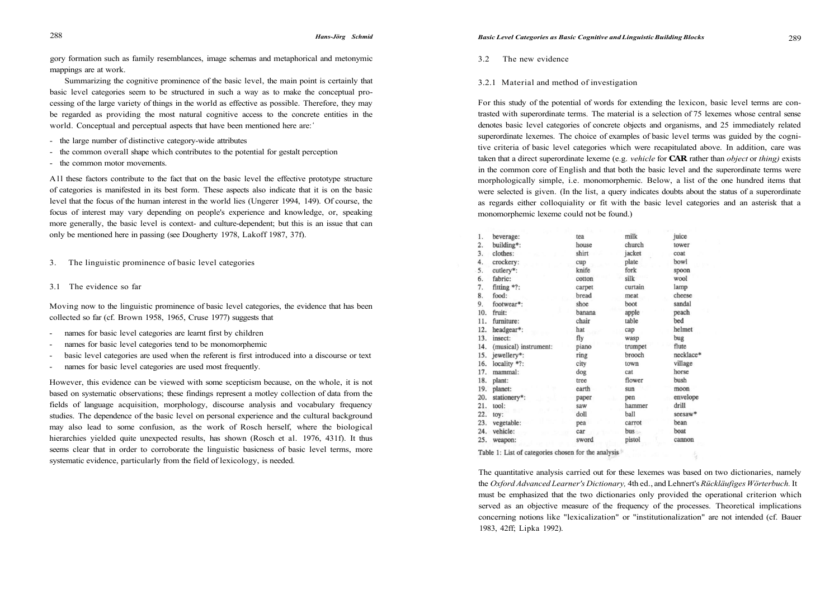gory formation such as family resemblances, image schemas and metaphorical and metonymic mappings are at work.

Summarizing the cognitive prominence of the basic level, the main point is certainly that basic level categories seem to be structured in such a way as to make the conceptual processing of the large variety of things in the world as effective as possible. Therefore, they may be regarded as providing the most natural cognitive access to the concrete entities in the world. Conceptual and perceptual aspects that have been mentioned here are:<sup>4</sup>

- the large number of distinctive category-wide attributes
- the common overall shape which contributes to the potential for gestalt perception
- the common motor movements.

All these factors contribute to the fact that on the basic level the effective prototype structure of categories is manifested in its best form. These aspects also indicate that it is on the basic level that the focus of the human interest in the world lies (Ungerer 1994, 149). Of course, the focus of interest may vary depending on people's experience and knowledge, or, speaking more generally, the basic level is context- and culture-dependent; but this is an issue that can only be mentioned here in passing (see Dougherty 1978, Lakoff 1987, 37f).

3. The linguistic prominence of basic level categories

3.1 The evidence so far

Moving now to the linguistic prominence of basic level categories, the evidence that has been collected so far (cf. Brown 1958, 1965, Cruse 1977) suggests that

- names for basic level categories are learnt first by children
- names for basic level categories tend to be monomorphemic
- basic level categories are used when the referent is first introduced into a discourse or text
- names for basic level categories are used most frequently.

However, this evidence can be viewed with some scepticism because, on the whole, it is not based on systematic observations; these findings represent a motley collection of data from the fields of language acquisition, morphology, discourse analysis and vocabulary frequency studies. The dependence of the basic level on personal experience and the cultural background may also lead to some confusion, as the work of Rosch herself, where the biological hierarchies yielded quite unexpected results, has shown (Rosch et al. 1976, 431f). It thus seems clear that in order to corroborate the linguistic basicness of basic level terms, more systematic evidence, particularly from the field of lexicology, is needed.

3.2 The new evidence

# 3.2.1 Material and method of investigation

For this study of the potential of words for extending the lexicon, basic level terms are contrasted with superordinate terms. The material is a selection of 75 lexemes whose central sense denotes basic level categories of concrete objects and organisms, and 25 immediately related superordinate lexemes. The choice of examples of basic level terms was guided by the cognitive criteria of basic level categories which were recapitulated above. In addition, care was taken that a direct superordinate lexeme (e.g. *vehicle* for **CAR** rather than *object* or *thing)* exists in the common core of English and that both the basic level and the superordinate terms were morphologically simple, i.e. monomorphemic. Below, a list of the one hundred items that were selected is given. (In the list, a query indicates doubts about the status of a superordinate as regards either colloquiality or fit with the basic level categories and an asterisk that a monomorphemic lexeme could not be found.)

| 1.  | beverage:             | tea    | milk    | juice     |
|-----|-----------------------|--------|---------|-----------|
| 2.  | building*:            | house  | church  | tower     |
| 3.  | clothes:              | shirt  | jacket  | coat      |
| 4.  | crockery:             | cup    | plate   | bowl      |
| 5.  | cutlery*:             | knife  | fork    | spoon     |
| 6.  | fabric:               | cotton | silk    | wool      |
| 7.  | fitting *?:           | carpet | curtain | lamp      |
| 8.  | food:                 | bread  | meat    | cheese    |
| 9.  | footwear*:            | shoe   | boot    | sandal    |
| 10. | fruit:                | banana | apple   | peach     |
| 11. | furniture:            | chair  | table   | bed       |
| 12. | headgear*:            | hat    | cap     | helmet    |
| 13. | insect:               | fly    | wasp    | bug       |
| 14. | (musical) instrument: | piano  | trumpet | flute     |
| 15. | jewellery*:           | ring   | brooch  | necklace* |
| 16. | locality *?:          | city   | town    | village   |
| 17. | mammal:               | dog    | cat     | horse     |
| 18. | plant:                | tree   | flower  | bush      |
| 19. | planet:               | earth  | sun     | moon      |
| 20. | stationery*:          | paper  | pen     | envelope  |
| 21. | tool:                 | saw    | hammer  | drill     |
| 22. | toy:                  | doll   | ball    | seesaw*   |
| 23. | vegetable:            | pea    | carrot  | bean      |
| 24. | vehicle:              | car    | bus     | boat      |
| 25. | weapon:               | sword  | pistol  | cannon    |

Table 1: List of categories chosen for the analysis

The quantitative analysis carried out for these lexemes was based on two dictionaries, namely the *Oxford Advanced Learner's Dictionary,* 4th ed., and Lehnert's *Rückläufiges Wörterbuch.* It must be emphasized that the two dictionaries only provided the operational criterion which served as an objective measure of the frequency of the processes. Theoretical implications concerning notions like "lexicalization" or "institutionalization" are not intended (cf. Bauer 1983, 42ff; Lipka 1992).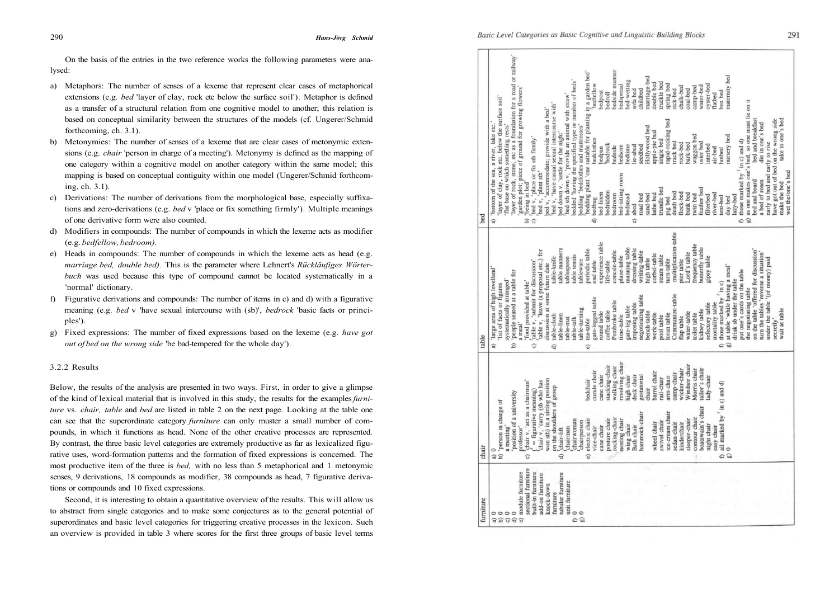On the basis of the entries in the two reference works the following parameters were ana-

- a) Metaphors: The number of senses of a lexeme that represent clear cases of metaphorical extensions (e.g. *bed* 'layer of clay, rock etc below the surface soil'). Metaphor is defined as a transfer of a structural relation from one cognitive model to another; this relation is based on conceptual similarity between the structures of the models (cf. Ungerer/Schmid forthcoming, ch. 3.1).
- b) Metonymies: The number of senses of a lexeme that are clear cases of metonymic extensions (e.g. *chair* 'person in charge of a meeting'). Metonymy is defined as the mapping of one category within a cognitive model on another category within the same model; this mapping is based on conceptual contiguity within one model (Ungerer/Schmid forthcoming, ch. 3.1).
- c) Derivations: The number of derivations from the morphological base, especially suffixations and zero-derivations (e.g. *bed* v 'place or fix something firmly'). Multiple meanings of one derivative form were also counted.
- d) Modifiers in compounds: The number of compounds in which the lexeme acts as modifier (e.g. *bedfellow, bedroom).*
- e) Heads in compounds: The number of compounds in which the lexeme acts as head (e.g. *marriage bed, double bed).* This is the parameter where Lehnert's *Rückläufiges Wörterbuch* was used because this type of compound cannot be located systematically in a 'normal' dictionary.
- f) Figurative derivations and compounds: The number of items in c) and d) with a figurative meaning (e.g. *bed* v 'have sexual intercourse with (sb)', *bedrock* 'basic facts or principles').
- g) Fixed expressions: The number of fixed expressions based on the lexeme (e.g. *have got out of bed on the wrong side* 'be bad-tempered for the whole day').

# 3.2.2 Results

Below, the results of the analysis are presented in two ways. First, in order to give a glimpse of the kind of lexical material that is involved in this study, the results for the examples *furniture* vs. *chair, table* and *bed* are listed in table 2 on the next page. Looking at the table one can see that the superordinate category *furniture* can only muster a small number of compounds, in which it functions as head. None of the other creative processes are represented. By contrast, the three basic level categories are extremely productive as far as lexicalized figurative uses, word-formation patterns and the formation of fixed expressions is concerned. The most productive item of the three is *bed,* with no less than 5 metaphorical and 1 metonymic senses, 9 derivations, 18 compounds as modifier, 38 compounds as head, 7 figurative derivations or compounds and 10 fixed expressions.

Second, it is interesting to obtain a quantitative overview of the results. This will allow us to abstract from single categories and to make some conjectures as to the general potential of superordinates and basic level categories for triggering creative processes in the lexicon. Such an overview is provided in table 3 where scores for the first three groups of basic level terms

| abed<br>a)<br>$\widehat{B}$<br>Ð<br>G<br>G<br>e)<br>Đ<br>multiplication-table<br>experience table<br>frequency table<br>butterfly table<br>manning table<br>dressing table<br>table manners<br>periodic table<br>table v, 'leave (a proposal etc.) for<br>on the table 'offered for discussion'<br>concsle-table<br>writing-table<br>ord's table<br>turn the tables 'reverse a situation'<br>corbel-table<br>table tennis<br>steam table<br>plane-table<br>gipsy table<br>table-knife<br>tablespoon<br>under the table '(of money) paid<br>high table<br>tableware<br>turn-table<br>pier table<br>table v, 'submit for discussion'<br>end table<br>ife-table<br>discussion at some future date<br>at table 'while having a meal'<br>'large area of high levelland'<br>put one's cards on the table<br>people seated at a table for<br>food provided at table'<br>systematically arranged'<br>drink sb under the table<br>those marked by $\lq$ in c)<br>'list of facts or figures<br>the negotiating table<br>Communion-table<br>negotioating table<br>gate-legged table<br>Pembroke table<br>mortality table<br>imposing table<br>refectory table<br>gate-leg table<br>table-turning<br>kidney table<br>coffee table<br>round table<br>bench-table<br>water-table<br>work-table<br>oran table<br>toilet table<br>time-table<br>table-linen<br>table-cloth<br>pool table<br>flap table<br>table-talk<br>table-mat<br>tea-table<br>a meal'<br>a)<br>$\widehat{E}$<br>Б<br>G<br>Đ<br>$\widehat{e}$<br>revolving chair<br>Windsor chair<br>stacking-chair<br>walking chair<br>Morris chair<br>tailor's chair<br>wicker-chair<br>curule chair<br>barrel chair<br>camp-chair<br>cane chair<br>high chair<br>deck chair<br>gestatorial<br>ady-chair<br>arm-chair<br>rail-chair<br>chair v, 'carry (sb who has<br>won sth) in a sitting position<br>bedchair<br>hair v, 'act as a chairman'<br>Il marked by <sup>f</sup> in c) and d)<br>on the shoulders of group<br>chair<br>$=$ figurative meaning)<br>position of a university<br>a) $0$<br>b) 'person in charge of<br>oatswain's chair<br>ce-cream chair<br>ammock-chair<br>ocking-chair<br>ontour chair<br>posture chair<br>leeper-chair<br>nesting chair<br>chairwoman<br>lectric chair<br>wivel chair<br>chairperson<br>edan-chair<br>theel chair<br>inderchair<br>wing chair<br>ight chair<br>ath chair<br>ice-chair<br>cane chair<br>meeting'<br>asy chair<br>chairman<br>rofessor'<br>chair-lift<br>æ<br>ω<br>e a<br>$\oplus$<br>O)<br>ි<br>sectional furniture<br>module furniture<br>built-in furniture<br>tubular furniture<br>add-on furniture<br>unit furniture<br>knock-down<br>furniture<br>$\circ$<br>$\circ$<br>C<br>$\circ$<br>C a<br>G)<br>€<br>ම<br>G<br>a) |                                                                                                                       |
|-----------------------------------------------------------------------------------------------------------------------------------------------------------------------------------------------------------------------------------------------------------------------------------------------------------------------------------------------------------------------------------------------------------------------------------------------------------------------------------------------------------------------------------------------------------------------------------------------------------------------------------------------------------------------------------------------------------------------------------------------------------------------------------------------------------------------------------------------------------------------------------------------------------------------------------------------------------------------------------------------------------------------------------------------------------------------------------------------------------------------------------------------------------------------------------------------------------------------------------------------------------------------------------------------------------------------------------------------------------------------------------------------------------------------------------------------------------------------------------------------------------------------------------------------------------------------------------------------------------------------------------------------------------------------------------------------------------------------------------------------------------------------------------------------------------------------------------------------------------------------------------------------------------------------------------------------------------------------------------------------------------------------------------------------------------------------------------------------------------------------------------------------------------------------------------------------------------------------------------------------------------------------------------------------------------------------------------------------------------------------------------------------------------------------------------------------------------------------------------------------------------------------------------------------------------------------------------------------------------------------------------------------------------------------------------------------------------------------------|-----------------------------------------------------------------------------------------------------------------------|
|                                                                                                                                                                                                                                                                                                                                                                                                                                                                                                                                                                                                                                                                                                                                                                                                                                                                                                                                                                                                                                                                                                                                                                                                                                                                                                                                                                                                                                                                                                                                                                                                                                                                                                                                                                                                                                                                                                                                                                                                                                                                                                                                                                                                                                                                                                                                                                                                                                                                                                                                                                                                                                                                                                                             | 'bottom of the sea, a river, lake etc.                                                                                |
|                                                                                                                                                                                                                                                                                                                                                                                                                                                                                                                                                                                                                                                                                                                                                                                                                                                                                                                                                                                                                                                                                                                                                                                                                                                                                                                                                                                                                                                                                                                                                                                                                                                                                                                                                                                                                                                                                                                                                                                                                                                                                                                                                                                                                                                                                                                                                                                                                                                                                                                                                                                                                                                                                                                             | 'layer of clay, rock etc. below the surface soil'                                                                     |
|                                                                                                                                                                                                                                                                                                                                                                                                                                                                                                                                                                                                                                                                                                                                                                                                                                                                                                                                                                                                                                                                                                                                                                                                                                                                                                                                                                                                                                                                                                                                                                                                                                                                                                                                                                                                                                                                                                                                                                                                                                                                                                                                                                                                                                                                                                                                                                                                                                                                                                                                                                                                                                                                                                                             | flat base on which something rests'                                                                                   |
|                                                                                                                                                                                                                                                                                                                                                                                                                                                                                                                                                                                                                                                                                                                                                                                                                                                                                                                                                                                                                                                                                                                                                                                                                                                                                                                                                                                                                                                                                                                                                                                                                                                                                                                                                                                                                                                                                                                                                                                                                                                                                                                                                                                                                                                                                                                                                                                                                                                                                                                                                                                                                                                                                                                             | layer of rock, stone, etc as a foundation for a road or railway'<br>garden plot; piece of ground for growing flowers' |
|                                                                                                                                                                                                                                                                                                                                                                                                                                                                                                                                                                                                                                                                                                                                                                                                                                                                                                                                                                                                                                                                                                                                                                                                                                                                                                                                                                                                                                                                                                                                                                                                                                                                                                                                                                                                                                                                                                                                                                                                                                                                                                                                                                                                                                                                                                                                                                                                                                                                                                                                                                                                                                                                                                                             | 'being in bed'                                                                                                        |
|                                                                                                                                                                                                                                                                                                                                                                                                                                                                                                                                                                                                                                                                                                                                                                                                                                                                                                                                                                                                                                                                                                                                                                                                                                                                                                                                                                                                                                                                                                                                                                                                                                                                                                                                                                                                                                                                                                                                                                                                                                                                                                                                                                                                                                                                                                                                                                                                                                                                                                                                                                                                                                                                                                                             | bed v, 'place or fix sth firmly'                                                                                      |
|                                                                                                                                                                                                                                                                                                                                                                                                                                                                                                                                                                                                                                                                                                                                                                                                                                                                                                                                                                                                                                                                                                                                                                                                                                                                                                                                                                                                                                                                                                                                                                                                                                                                                                                                                                                                                                                                                                                                                                                                                                                                                                                                                                                                                                                                                                                                                                                                                                                                                                                                                                                                                                                                                                                             | bed v, 'plant sth'                                                                                                    |
|                                                                                                                                                                                                                                                                                                                                                                                                                                                                                                                                                                                                                                                                                                                                                                                                                                                                                                                                                                                                                                                                                                                                                                                                                                                                                                                                                                                                                                                                                                                                                                                                                                                                                                                                                                                                                                                                                                                                                                                                                                                                                                                                                                                                                                                                                                                                                                                                                                                                                                                                                                                                                                                                                                                             | bed v, 'accommodate; provide with a bed'                                                                              |
|                                                                                                                                                                                                                                                                                                                                                                                                                                                                                                                                                                                                                                                                                                                                                                                                                                                                                                                                                                                                                                                                                                                                                                                                                                                                                                                                                                                                                                                                                                                                                                                                                                                                                                                                                                                                                                                                                                                                                                                                                                                                                                                                                                                                                                                                                                                                                                                                                                                                                                                                                                                                                                                                                                                             | bed v, 'have casual sexual intercourse with'                                                                          |
|                                                                                                                                                                                                                                                                                                                                                                                                                                                                                                                                                                                                                                                                                                                                                                                                                                                                                                                                                                                                                                                                                                                                                                                                                                                                                                                                                                                                                                                                                                                                                                                                                                                                                                                                                                                                                                                                                                                                                                                                                                                                                                                                                                                                                                                                                                                                                                                                                                                                                                                                                                                                                                                                                                                             | ped down v, 'settle for the night'                                                                                    |
|                                                                                                                                                                                                                                                                                                                                                                                                                                                                                                                                                                                                                                                                                                                                                                                                                                                                                                                                                                                                                                                                                                                                                                                                                                                                                                                                                                                                                                                                                                                                                                                                                                                                                                                                                                                                                                                                                                                                                                                                                                                                                                                                                                                                                                                                                                                                                                                                                                                                                                                                                                                                                                                                                                                             | bed sth down v, 'provide an animal with straw'                                                                        |
|                                                                                                                                                                                                                                                                                                                                                                                                                                                                                                                                                                                                                                                                                                                                                                                                                                                                                                                                                                                                                                                                                                                                                                                                                                                                                                                                                                                                                                                                                                                                                                                                                                                                                                                                                                                                                                                                                                                                                                                                                                                                                                                                                                                                                                                                                                                                                                                                                                                                                                                                                                                                                                                                                                                             | bedded 'having the specified type or number of beds'                                                                  |
|                                                                                                                                                                                                                                                                                                                                                                                                                                                                                                                                                                                                                                                                                                                                                                                                                                                                                                                                                                                                                                                                                                                                                                                                                                                                                                                                                                                                                                                                                                                                                                                                                                                                                                                                                                                                                                                                                                                                                                                                                                                                                                                                                                                                                                                                                                                                                                                                                                                                                                                                                                                                                                                                                                                             | bedding 'bedclothes and mattresses'                                                                                   |
|                                                                                                                                                                                                                                                                                                                                                                                                                                                                                                                                                                                                                                                                                                                                                                                                                                                                                                                                                                                                                                                                                                                                                                                                                                                                                                                                                                                                                                                                                                                                                                                                                                                                                                                                                                                                                                                                                                                                                                                                                                                                                                                                                                                                                                                                                                                                                                                                                                                                                                                                                                                                                                                                                                                             | bedding plant 'one suitable for planting in a garden bed'                                                             |
|                                                                                                                                                                                                                                                                                                                                                                                                                                                                                                                                                                                                                                                                                                                                                                                                                                                                                                                                                                                                                                                                                                                                                                                                                                                                                                                                                                                                                                                                                                                                                                                                                                                                                                                                                                                                                                                                                                                                                                                                                                                                                                                                                                                                                                                                                                                                                                                                                                                                                                                                                                                                                                                                                                                             | bedfellow<br>bedclothes<br>bedbug                                                                                     |
|                                                                                                                                                                                                                                                                                                                                                                                                                                                                                                                                                                                                                                                                                                                                                                                                                                                                                                                                                                                                                                                                                                                                                                                                                                                                                                                                                                                                                                                                                                                                                                                                                                                                                                                                                                                                                                                                                                                                                                                                                                                                                                                                                                                                                                                                                                                                                                                                                                                                                                                                                                                                                                                                                                                             | bedpost<br>pedpan<br>bed-linen                                                                                        |
|                                                                                                                                                                                                                                                                                                                                                                                                                                                                                                                                                                                                                                                                                                                                                                                                                                                                                                                                                                                                                                                                                                                                                                                                                                                                                                                                                                                                                                                                                                                                                                                                                                                                                                                                                                                                                                                                                                                                                                                                                                                                                                                                                                                                                                                                                                                                                                                                                                                                                                                                                                                                                                                                                                                             | bedroll<br>bedrock<br>bedridden                                                                                       |
|                                                                                                                                                                                                                                                                                                                                                                                                                                                                                                                                                                                                                                                                                                                                                                                                                                                                                                                                                                                                                                                                                                                                                                                                                                                                                                                                                                                                                                                                                                                                                                                                                                                                                                                                                                                                                                                                                                                                                                                                                                                                                                                                                                                                                                                                                                                                                                                                                                                                                                                                                                                                                                                                                                                             | bedside manner<br>bedside<br>bedroom                                                                                  |
|                                                                                                                                                                                                                                                                                                                                                                                                                                                                                                                                                                                                                                                                                                                                                                                                                                                                                                                                                                                                                                                                                                                                                                                                                                                                                                                                                                                                                                                                                                                                                                                                                                                                                                                                                                                                                                                                                                                                                                                                                                                                                                                                                                                                                                                                                                                                                                                                                                                                                                                                                                                                                                                                                                                             | bedspread<br>bedsore<br>bed-sitting-room                                                                              |
|                                                                                                                                                                                                                                                                                                                                                                                                                                                                                                                                                                                                                                                                                                                                                                                                                                                                                                                                                                                                                                                                                                                                                                                                                                                                                                                                                                                                                                                                                                                                                                                                                                                                                                                                                                                                                                                                                                                                                                                                                                                                                                                                                                                                                                                                                                                                                                                                                                                                                                                                                                                                                                                                                                                             | bed-wetting<br>bedtime<br>bedstead                                                                                    |
|                                                                                                                                                                                                                                                                                                                                                                                                                                                                                                                                                                                                                                                                                                                                                                                                                                                                                                                                                                                                                                                                                                                                                                                                                                                                                                                                                                                                                                                                                                                                                                                                                                                                                                                                                                                                                                                                                                                                                                                                                                                                                                                                                                                                                                                                                                                                                                                                                                                                                                                                                                                                                                                                                                                             | sofa bed<br>ie-abed                                                                                                   |
|                                                                                                                                                                                                                                                                                                                                                                                                                                                                                                                                                                                                                                                                                                                                                                                                                                                                                                                                                                                                                                                                                                                                                                                                                                                                                                                                                                                                                                                                                                                                                                                                                                                                                                                                                                                                                                                                                                                                                                                                                                                                                                                                                                                                                                                                                                                                                                                                                                                                                                                                                                                                                                                                                                                             | childbed<br>seedbed<br>road bed                                                                                       |
|                                                                                                                                                                                                                                                                                                                                                                                                                                                                                                                                                                                                                                                                                                                                                                                                                                                                                                                                                                                                                                                                                                                                                                                                                                                                                                                                                                                                                                                                                                                                                                                                                                                                                                                                                                                                                                                                                                                                                                                                                                                                                                                                                                                                                                                                                                                                                                                                                                                                                                                                                                                                                                                                                                                             | marriage-bed<br>Hollywood bed<br>sand-bed                                                                             |
|                                                                                                                                                                                                                                                                                                                                                                                                                                                                                                                                                                                                                                                                                                                                                                                                                                                                                                                                                                                                                                                                                                                                                                                                                                                                                                                                                                                                                                                                                                                                                                                                                                                                                                                                                                                                                                                                                                                                                                                                                                                                                                                                                                                                                                                                                                                                                                                                                                                                                                                                                                                                                                                                                                                             | double bed<br>apple-pie bed<br>athe bed                                                                               |
|                                                                                                                                                                                                                                                                                                                                                                                                                                                                                                                                                                                                                                                                                                                                                                                                                                                                                                                                                                                                                                                                                                                                                                                                                                                                                                                                                                                                                                                                                                                                                                                                                                                                                                                                                                                                                                                                                                                                                                                                                                                                                                                                                                                                                                                                                                                                                                                                                                                                                                                                                                                                                                                                                                                             | truckle bed<br>single bed<br>trundle bed                                                                              |
|                                                                                                                                                                                                                                                                                                                                                                                                                                                                                                                                                                                                                                                                                                                                                                                                                                                                                                                                                                                                                                                                                                                                                                                                                                                                                                                                                                                                                                                                                                                                                                                                                                                                                                                                                                                                                                                                                                                                                                                                                                                                                                                                                                                                                                                                                                                                                                                                                                                                                                                                                                                                                                                                                                                             | spring bed<br>rapid-rocking bed<br>pig bed                                                                            |
|                                                                                                                                                                                                                                                                                                                                                                                                                                                                                                                                                                                                                                                                                                                                                                                                                                                                                                                                                                                                                                                                                                                                                                                                                                                                                                                                                                                                                                                                                                                                                                                                                                                                                                                                                                                                                                                                                                                                                                                                                                                                                                                                                                                                                                                                                                                                                                                                                                                                                                                                                                                                                                                                                                                             | sick-bed<br>track bed<br>death bed                                                                                    |
|                                                                                                                                                                                                                                                                                                                                                                                                                                                                                                                                                                                                                                                                                                                                                                                                                                                                                                                                                                                                                                                                                                                                                                                                                                                                                                                                                                                                                                                                                                                                                                                                                                                                                                                                                                                                                                                                                                                                                                                                                                                                                                                                                                                                                                                                                                                                                                                                                                                                                                                                                                                                                                                                                                                             | chalk-bed<br>rock-bed<br>flock-bed                                                                                    |
|                                                                                                                                                                                                                                                                                                                                                                                                                                                                                                                                                                                                                                                                                                                                                                                                                                                                                                                                                                                                                                                                                                                                                                                                                                                                                                                                                                                                                                                                                                                                                                                                                                                                                                                                                                                                                                                                                                                                                                                                                                                                                                                                                                                                                                                                                                                                                                                                                                                                                                                                                                                                                                                                                                                             | coal-bed<br>park-bed<br>bunk bed                                                                                      |
|                                                                                                                                                                                                                                                                                                                                                                                                                                                                                                                                                                                                                                                                                                                                                                                                                                                                                                                                                                                                                                                                                                                                                                                                                                                                                                                                                                                                                                                                                                                                                                                                                                                                                                                                                                                                                                                                                                                                                                                                                                                                                                                                                                                                                                                                                                                                                                                                                                                                                                                                                                                                                                                                                                                             | camp-bed<br>waggon bed<br>twin bed                                                                                    |
|                                                                                                                                                                                                                                                                                                                                                                                                                                                                                                                                                                                                                                                                                                                                                                                                                                                                                                                                                                                                                                                                                                                                                                                                                                                                                                                                                                                                                                                                                                                                                                                                                                                                                                                                                                                                                                                                                                                                                                                                                                                                                                                                                                                                                                                                                                                                                                                                                                                                                                                                                                                                                                                                                                                             | water-bed<br>osier bed<br>feather bed                                                                                 |
|                                                                                                                                                                                                                                                                                                                                                                                                                                                                                                                                                                                                                                                                                                                                                                                                                                                                                                                                                                                                                                                                                                                                                                                                                                                                                                                                                                                                                                                                                                                                                                                                                                                                                                                                                                                                                                                                                                                                                                                                                                                                                                                                                                                                                                                                                                                                                                                                                                                                                                                                                                                                                                                                                                                             | oyster-bed<br>nterbed<br>filterbed                                                                                    |
|                                                                                                                                                                                                                                                                                                                                                                                                                                                                                                                                                                                                                                                                                                                                                                                                                                                                                                                                                                                                                                                                                                                                                                                                                                                                                                                                                                                                                                                                                                                                                                                                                                                                                                                                                                                                                                                                                                                                                                                                                                                                                                                                                                                                                                                                                                                                                                                                                                                                                                                                                                                                                                                                                                                             | flatbed<br>air-bed<br>river-bed                                                                                       |
|                                                                                                                                                                                                                                                                                                                                                                                                                                                                                                                                                                                                                                                                                                                                                                                                                                                                                                                                                                                                                                                                                                                                                                                                                                                                                                                                                                                                                                                                                                                                                                                                                                                                                                                                                                                                                                                                                                                                                                                                                                                                                                                                                                                                                                                                                                                                                                                                                                                                                                                                                                                                                                                                                                                             | box bed<br>hotbed<br>tent-bed                                                                                         |
|                                                                                                                                                                                                                                                                                                                                                                                                                                                                                                                                                                                                                                                                                                                                                                                                                                                                                                                                                                                                                                                                                                                                                                                                                                                                                                                                                                                                                                                                                                                                                                                                                                                                                                                                                                                                                                                                                                                                                                                                                                                                                                                                                                                                                                                                                                                                                                                                                                                                                                                                                                                                                                                                                                                             | naternity bed<br>nursery bed<br>day bed                                                                               |
|                                                                                                                                                                                                                                                                                                                                                                                                                                                                                                                                                                                                                                                                                                                                                                                                                                                                                                                                                                                                                                                                                                                                                                                                                                                                                                                                                                                                                                                                                                                                                                                                                                                                                                                                                                                                                                                                                                                                                                                                                                                                                                                                                                                                                                                                                                                                                                                                                                                                                                                                                                                                                                                                                                                             | lazy-bed                                                                                                              |
|                                                                                                                                                                                                                                                                                                                                                                                                                                                                                                                                                                                                                                                                                                                                                                                                                                                                                                                                                                                                                                                                                                                                                                                                                                                                                                                                                                                                                                                                                                                                                                                                                                                                                                                                                                                                                                                                                                                                                                                                                                                                                                                                                                                                                                                                                                                                                                                                                                                                                                                                                                                                                                                                                                                             | those marked by <sup>f</sup> in c) and d)                                                                             |
|                                                                                                                                                                                                                                                                                                                                                                                                                                                                                                                                                                                                                                                                                                                                                                                                                                                                                                                                                                                                                                                                                                                                                                                                                                                                                                                                                                                                                                                                                                                                                                                                                                                                                                                                                                                                                                                                                                                                                                                                                                                                                                                                                                                                                                                                                                                                                                                                                                                                                                                                                                                                                                                                                                                             | as one makes one's bed, so one must lie on it                                                                         |
|                                                                                                                                                                                                                                                                                                                                                                                                                                                                                                                                                                                                                                                                                                                                                                                                                                                                                                                                                                                                                                                                                                                                                                                                                                                                                                                                                                                                                                                                                                                                                                                                                                                                                                                                                                                                                                                                                                                                                                                                                                                                                                                                                                                                                                                                                                                                                                                                                                                                                                                                                                                                                                                                                                                             | bed and breakfast<br>bed and board                                                                                    |
|                                                                                                                                                                                                                                                                                                                                                                                                                                                                                                                                                                                                                                                                                                                                                                                                                                                                                                                                                                                                                                                                                                                                                                                                                                                                                                                                                                                                                                                                                                                                                                                                                                                                                                                                                                                                                                                                                                                                                                                                                                                                                                                                                                                                                                                                                                                                                                                                                                                                                                                                                                                                                                                                                                                             | die in one's bed<br>a bed of roses                                                                                    |
|                                                                                                                                                                                                                                                                                                                                                                                                                                                                                                                                                                                                                                                                                                                                                                                                                                                                                                                                                                                                                                                                                                                                                                                                                                                                                                                                                                                                                                                                                                                                                                                                                                                                                                                                                                                                                                                                                                                                                                                                                                                                                                                                                                                                                                                                                                                                                                                                                                                                                                                                                                                                                                                                                                                             | early to bed and early to rise                                                                                        |
| secretly'                                                                                                                                                                                                                                                                                                                                                                                                                                                                                                                                                                                                                                                                                                                                                                                                                                                                                                                                                                                                                                                                                                                                                                                                                                                                                                                                                                                                                                                                                                                                                                                                                                                                                                                                                                                                                                                                                                                                                                                                                                                                                                                                                                                                                                                                                                                                                                                                                                                                                                                                                                                                                                                                                                                   | have got out of bed on the wrong side                                                                                 |
| wait at table                                                                                                                                                                                                                                                                                                                                                                                                                                                                                                                                                                                                                                                                                                                                                                                                                                                                                                                                                                                                                                                                                                                                                                                                                                                                                                                                                                                                                                                                                                                                                                                                                                                                                                                                                                                                                                                                                                                                                                                                                                                                                                                                                                                                                                                                                                                                                                                                                                                                                                                                                                                                                                                                                                               | take to one's bed<br>wet the/one's bed<br>make the bed                                                                |

lysed: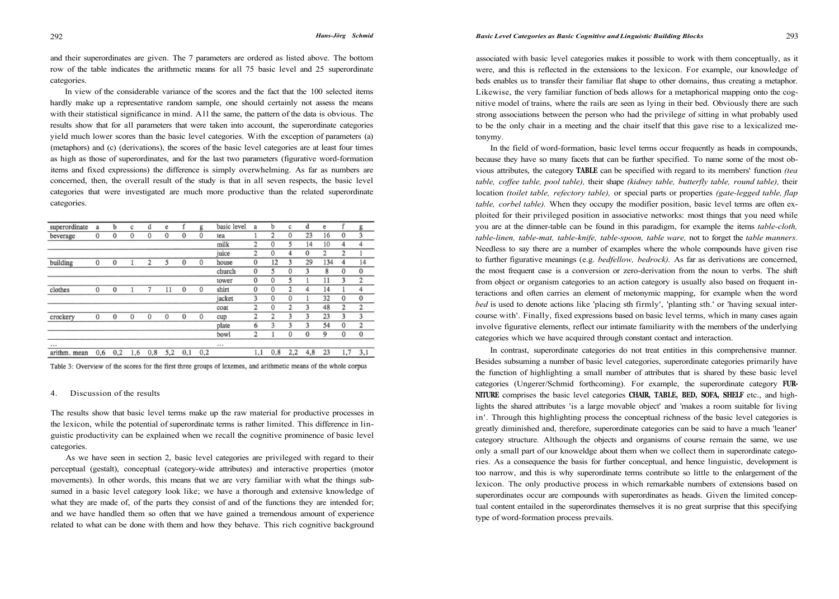and their superordinates are given. The 7 parameters are ordered as listed above. The bottom row of the table indicates the arithmetic means for all 75 basic level and 25 superordinate categories.

In view of the considerable variance of the scores and the fact that the 100 selected items hardly make up a representative random sample, one should certainly not assess the means with their statistical significance in mind. All the same, the pattern of the data is obvious. The results show that for all parameters that were taken into account, the superordinate categories yield much lower scores than the basic level categories. With the exception of parameters (a) (metaphors) and (c) (derivations), the scores of the basic level categories are at least four times as high as those of superordinates, and for the last two parameters (figurative word-formation items and fixed expressions) the difference is simply overwhelming. As far as numbers are concerned, then, the overall result of the study is that in all seven respects, the basic level categories that were investigated are much more productive than the related superordinate categories.

| superordinate | a        | b            | c            | d            | e            |              | g            | basic level | a              | b              | c              | d            | e              | f              | g              |
|---------------|----------|--------------|--------------|--------------|--------------|--------------|--------------|-------------|----------------|----------------|----------------|--------------|----------------|----------------|----------------|
| beverage      | $\bf{0}$ | $\mathbf{0}$ | $\mathbf{0}$ | $\mathbf{0}$ | $\mathbf{0}$ | $\mathbf{0}$ | $\mathbf{0}$ | tea         |                | 2              | $\mathbf{0}$   | 23           | 16             | $\mathbf{0}$   | 3              |
|               |          |              |              |              |              |              |              | milk        | $\overline{2}$ | $\mathbf{0}$   | 5              | 14           | 10             | 4              | $\overline{4}$ |
|               |          |              |              |              |              |              |              | juice       | $\overline{2}$ | $\mathbf{0}$   | 4              | $\mathbf{0}$ | $\overline{2}$ | $\overline{2}$ | 1              |
| building      | $\bf{0}$ | $\mathbf{0}$ |              | 2            | 5            | $\mathbf{0}$ | $\mathbf{0}$ | house       | $\mathbf{0}$   | 12             | 3              | 29           | 134            | 4              | 14             |
|               |          |              |              |              |              |              |              | church      | $\mathbf{0}$   | 5              | $\mathbf{0}$   | 3            | 8              | $\mathbf{0}$   | $\mathbf{0}$   |
|               |          |              |              |              |              |              |              | tower       | $\mathbf{0}$   | $\mathbf{0}$   | 5              |              | 11             | 3              | $\overline{2}$ |
| clothes       | $\bf{0}$ | $\mathbf{0}$ |              | 7            | 11           | $\mathbf{0}$ | $\mathbf{0}$ | shirt       | $\mathbf{0}$   | $\mathbf{0}$   | $\overline{2}$ | 4            | 14             | 1              | 4              |
|               |          |              |              |              |              |              |              | jacket      | 3              | $\mathbf{0}$   | $\mathbf{0}$   |              | 32             | $\mathbf{0}$   | $\mathbf{0}$   |
|               |          |              |              |              |              |              |              | coat        | $\overline{2}$ | $\Omega$       | $\overline{2}$ | 3            | 48             | 2              | $\overline{2}$ |
| crockery      | $\bf{0}$ | $\mathbf{0}$ | $\mathbf{0}$ | $\mathbf{0}$ | $\mathbf{0}$ | $\mathbf{0}$ | $\mathbf{0}$ | cup         | $\overline{c}$ | $\overline{c}$ | 3              | 3            | 23             | 3              | 3              |
|               |          |              |              |              |              |              |              | plate       | 6              | 3              | 3              | 3            | 54             | $\mathbf{0}$   | $\overline{2}$ |
|               |          |              |              |              |              |              |              | bowl        | $\overline{2}$ |                | $\mathbf{0}$   | $\mathbf{0}$ | 9              | $\mathbf{0}$   | $\mathbf{0}$   |
|               |          |              |              |              |              |              |              |             |                |                |                |              |                |                |                |
| arithm. mean  | 0,6      | 0,2          | 1,6          | 0, 8         | 5,2          | 0,1          | 0,2          |             | 1,1            | 0,8            | 2,2            | 4,8          | 23             | 1,7            | 3,1            |

Table 3: Overview of the scores for the first three groups of lexemes, and arithmetic means of the whole corpus

## 4. Discussion of the results

The results show that basic level terms make up the raw material for productive processes in the lexicon, while the potential of superordinate terms is rather limited. This difference in linguistic productivity can be explained when we recall the cognitive prominence of basic level categories.

As we have seen in section 2, basic level categories are privileged with regard to their perceptual (gestalt), conceptual (category-wide attributes) and interactive properties (motor movements). In other words, this means that we are very familiar with what the things subsumed in a basic level category look like; we have a thorough and extensive knowledge of what they are made of, of the parts they consist of and of the functions they are intended for; and we have handled them so often that we have gained a tremendous amount of experience related to what can be done with them and how they behave. This rich cognitive background associated with basic level categories makes it possible to work with them conceptually, as it were, and this is reflected in the extensions to the lexicon. For example, our knowledge of beds enables us to transfer their familiar flat shape to other domains, thus creating a metaphor. Likewise, the very familiar function of beds allows for a metaphorical mapping onto the cognitive model of trains, where the rails are seen as lying in their bed. Obviously there are such strong associations between the person who had the privilege of sitting in what probably used to be the only chair in a meeting and the chair itself that this gave rise to a lexicalized metonymy.

In the field of word-formation, basic level terms occur frequently as heads in compounds, because they have so many facets that can be further specified. To name some of the most obvious attributes, the category **TABLE** can be specified with regard to its members' function *(tea table, coffee table, pool table),* their shape *(kidney table, butterfly table, round table),* their location *(toilet table, refectory table),* or special parts or properties *(gate-legged table, flap table, corbel table)*. When they occupy the modifier position, basic level terms are often exploited for their privileged position in associative networks: most things that you need while you are at the dinner-table can be found in this paradigm, for example the items *table-cloth, table-linen, table-mat, table-knife, table-spoon, table ware,* not to forget the *table manners.*  Needless to say there are a number of examples where the whole compounds have given rise to further figurative meanings (e.g. *bedfellow, bedrock).* As far as derivations are concerned, the most frequent case is a conversion or zero-derivation from the noun to verbs. The shift from object or organism categories to an action category is usually also based on frequent interactions and often carries an element of metonymic mapping, for example when the word *bed* is used to denote actions like 'placing sth firmly', 'planting sth.' or 'having sexual intercourse with'. Finally, fixed expressions based on basic level terms, which in many cases again involve figurative elements, reflect our intimate familiarity with the members of the underlying categories which we have acquired through constant contact and interaction.

In contrast, superordinate categories do not treat entities in this comprehensive manner. Besides subsuming a number of basic level categories, superordinate categories primarily have the function of highlighting a small number of attributes that is shared by these basic level categories (Ungerer/Schmid forthcoming). For example, the superordinate category **FUR-NITURE** comprises the basic level categories **CHAIR, TABLE, BED, SOFA, SHELF** etc., and highlights the shared attributes 'is a large movable object' and 'makes a room suitable for living in'. Through this highlighting process the conceptual richness of the basic level categories is greatly diminished and, therefore, superordinate categories can be said to have a much 'leaner' category structure. Although the objects and organisms of course remain the same, we use only a small part of our knoweldge about them when we collect them in superordinate categories. As a consequence the basis for further conceptual, and hence linguistic, development is too narrow, and this is why superordinate terms contribute so little to the enlargement of the lexicon. The only productive process in which remarkable numbers of extensions based on superordinates occur are compounds with superordinates as heads. Given the limited conceptual content entailed in the superordinates themselves it is no great surprise that this specifying type of word-formation process prevails.